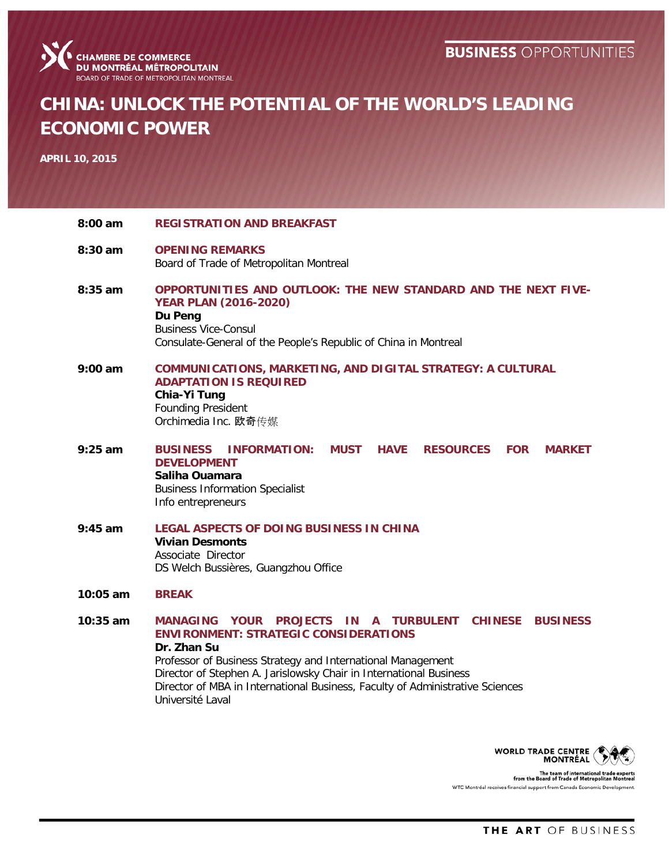

# **CHINA: UNLOCK THE POTENTIAL OF THE WORLD'S LEADING ECONOMIC POWER**

**APRIL 10, 2015**

**8:00 am REGISTRATION AND BREAKFAST 8:30 am OPENING REMARKS** Board of Trade of Metropolitan Montreal **8:35 am OPPORTUNITIES AND OUTLOOK: THE NEW STANDARD AND THE NEXT FIVE-YEAR PLAN (2016-2020) Du Peng** Business Vice-Consul Consulate-General of the People's Republic of China in Montreal **9:00 am COMMUNICATIONS, MARKETING, AND DIGITAL STRATEGY: A CULTURAL ADAPTATION IS REQUIRED Chia-Yi Tung** Founding President Orchimedia Inc. 欧奇传媒 **9:25 am BUSINESS INFORMATION: MUST HAVE RESOURCES FOR MARKET DEVELOPMENT Saliha Ouamara** Business Information Specialist Info entrepreneurs **9:45 am LEGAL ASPECTS OF DOING BUSINESS IN CHINA Vivian Desmonts** Associate Director DS Welch Bussières, Guangzhou Office **10:05 am BREAK 10:35 am MANAGING YOUR PROJECTS IN A TURBULENT CHINESE BUSINESS ENVIRONMENT: STRATEGIC CONSIDERATIONS Dr. Zhan Su** Professor of Business Strategy and International Management Director of Stephen A. Jarislowsky Chair in International Business Director of MBA in International Business, Faculty of Administrative Sciences Université Laval



The team of international trad<br>from the Board of Trade of Metropolitan WTC Montréal receives financial support from Canada Economic Developr